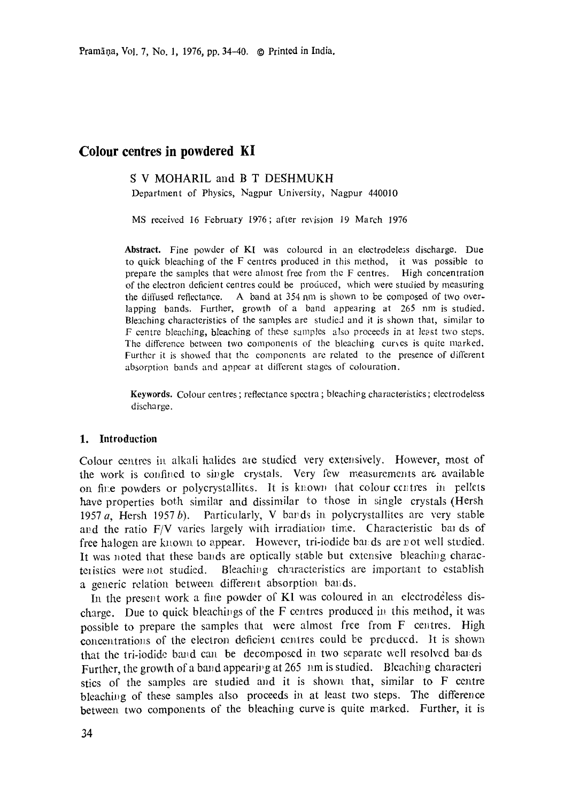Pramāņa, Vol. 7, No. 1, 1976, pp. 34-40. © Printed in India.

# **Colour centres in powdered KI**

## S V MOHARIL and B T DESHMUKH

Department of Physics, Nagpur University, Nagpur *440010* 

MS received 16 February 1976; after revision 19 March 1976

Abstract. Fine powder of KI was coloured in an electrodeless discharge. Due to quick bleaching of the F centres produced in this method, it was possible to prepare the samples that were ahnost free from the F centres. High concentration of the electron deficient ceotres could be produced, which were studied by measuring the diffused reflectance. A band at 354 nm is shown to be composed of two overlapping bands. Further, growth of a band appearing at 265 nm is studied. Bleaching characteristics of the samples are studied and it is shown that, similar to F centre bleaching, bleaching of these samples also proceeds in at least two steps. The difference between two components of the bleaching curves is quite marked. Further it is showed that the components are related to the presence of different absorptioa bands aad appear at different stages of colouration.

Keywords. Colour centres; reflectance spectra; bleaching characteristics; electrodeless discharge.

### **1. Introduction**

Colour centres in alkali halides are studied very extensively. However, most of the work is confined to single crystals. Very few measurements are available on fine powders or polycrystallites. It is known that colour centres in pellets have properties both similar and dissimilar to those in single crystals (Hersh 1957  $a$ , Hersh 1957  $b$ ). Particularly, V bands in polycrystallites are very stable and the ratio  $F/V$  varies largely with irradiation time. Characteristic bal ds of free halogen are known to appear. However, tri-iodide bands are not well studied. It was noted that these bands are optically stable but extensive bleaching characteristics were not studied. Bleaching characteristics are important to establish a generic relation between different absorption bands.

In the present work a fine powder of K1 was coloured in an electrodeless discharge. Due to quick bleachings of the F centres produced in this method, it was possible to prepare the samples that were ahnost free from F centres. High concentrations of the electron deficient centres could be preduced. It is shown that the tri-iodide band can be decomposed in two separate well resolved bands Further, the growth of a band appearing at 265 nm is studied. Bleaching characteri stics of the samples are studied and it is shown that, similar to F centre bleaching of these samples also proceeds in at least two steps. The difference between two components of the bleaching curve is quite marked. Further, it is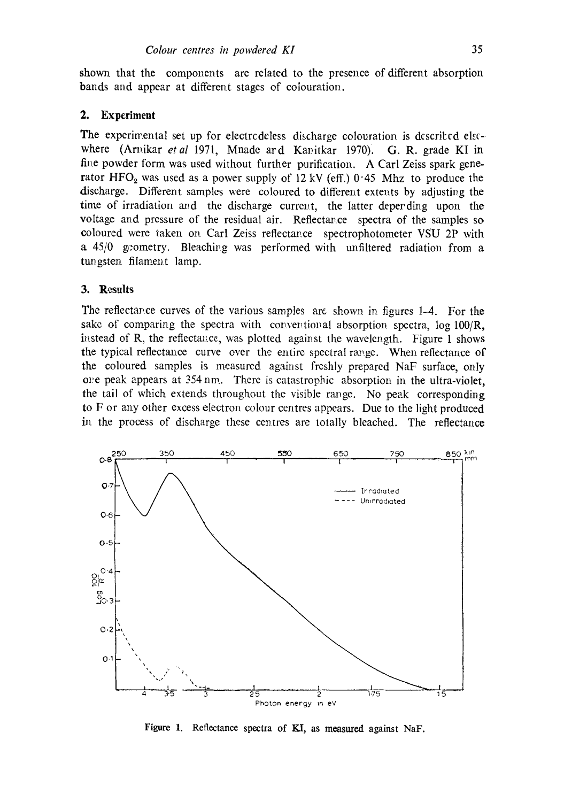shown that the components are related to the presence of different absorption bands and appear at different stages of colouration.

## **2. Experiment**

The experimental set up for electrodeless discharge colouration is descrited elsewhere (Arnikar *et al* 1971, Mnade ard Kanitkar 1970). G.R. grade KI in fine powder form was used without further purification. A Carl Zeiss spark generator HFO<sub>2</sub> was used as a power supply of 12 kV (eff.)  $0.45$  Mhz to produce the discharge. Different samples were coloured to different extents by adjusting the time of irradiation and the discharge current, the latter deperding upon the voltage and pressure of the residual air. Reflectance spectra of the samples so ¢oloured were taken on Carl Zeiss reflectav.ce spectrophotometer VSU 2P with a 45/0 geometry. Bleachivg was performed with unfiltered radiation from a tungsten filament lamp.

## **3. Results**

The reflectance curves of the various samples are shown in figures 1-4. For the sake of comparing the spectra with conventional absorption spectra,  $\log 100/R$ , instead of R, the reflectance, was plotted against the wavelength. Figure 1 shows the typical reflectance curve over the entire spectral range. When reflectance of the coloured samples is measured against freshly prepared NaF surface, only ore peak appears at 354 nm. There is catastropbic absorption in the ultra-violet, the tail of which extends throughout the visible range. No peak corresponding to F or any other excess electron colour centres appears. Due to the light produced in the process of discharge these centres are totally bleached. The reflectance



Figure 1. Reflectance spectra of KI, as measured against NaF.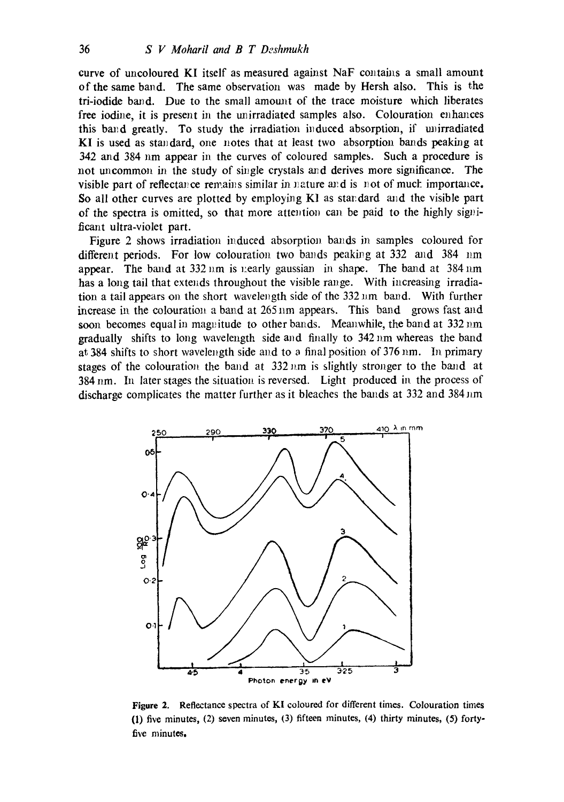curve of uncoloured KI itself as measured against NaF contains a small amount of the same band. The same observation was made by Hersh also. This is the tri-jodide band. Due to the small amount of the trace moisture which liberates free iodine, it is present in the unirradiated samples also. Colouration enhances this band greatly. To study the irradiation induced absorption, if unirradiated KI is used as standard, one notes that at least two absorption bands peaking at 342 and 384 nm appear in the curves of coloured samples. Such a procedure is not uncommon in the study of single crystals and derives more significance. The visible part of reflectance remains similar in nature and is not of muck importance. So all other curves are plotted by employing  $K1$  as standard and the visible part of the spectra is omitted, so that more attention can be paid to the highly significant ultra-violet part.

Figure 2 shows irradiation induced absorption bands in samples coloured for different periods. For low colouration two bands peaking at  $332$  and  $384$  nm appear. The band at  $332~\mathrm{nm}$  is nearly gaussian in shape. The band at  $384~\mathrm{nm}$ . has a long tail that extends throughout the visible range. With increasing irradiation a tail appears on the short wavelength side of the 332 nm band. With further increase in. the colouration a band at 265 nm appears. This band grows fast and soon becomes equal in magnitude to other bands. Meanwhile, the band at  $332 \text{ nm}$ gradually shifts to long wavelength side and finally to 342nm whereas the band at 384 shifts to short wavelength side and to a final position of  $376$  nm. In primary stages of the colouration the band at  $332 \text{ nm}$  is slightly stronger to the band at 384 nm. In later stages the situatiou is reversed. Light produced in the process of discharge complicates the matter further as it bleaches the bands at  $332$  and  $384 \text{ nm}$ 



**Figure** 2. Reflectance spectra of KI coloured for different times. Colouration times (1) five minutes, (2) seven minutes, (3) fifteen minutes, (4) thirty minutes, (5) fortyfive minutes.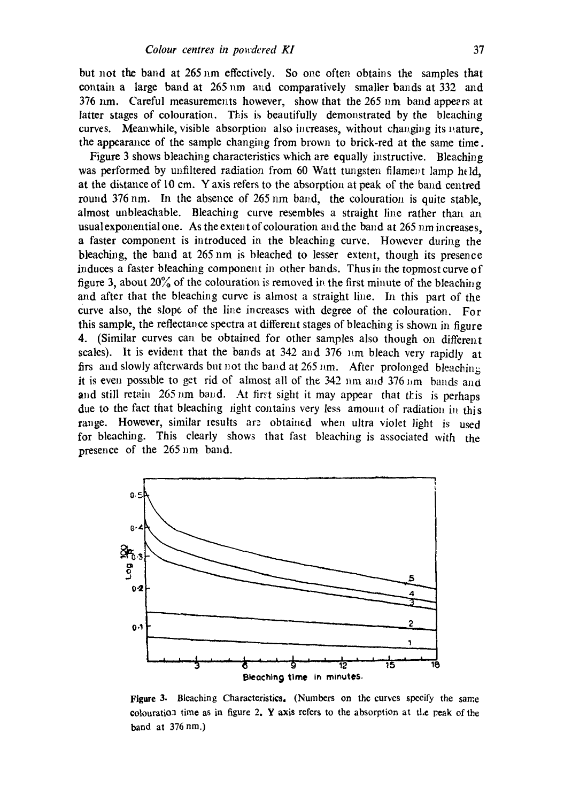but not the band at 265 nm effectively. So one often obtains the samples that contain a large band at  $265 \text{ nm}$  and comparatively smaller bands at 332 and  $376$  nm. Careful measurements however, show that the 265 nm band appeers at latter stages of colouration. This is beautifully demonstrated by the bleaching curves. Meanwhile, visible absorption also increases, without changing its nature, the appearance of the sample changing from brown to brick-red at the same time.

Figure 3 shows bleaching characteristics which are equally instructive. Bleaching was performed by unfiltered radiation from 60 Watt tungsten filament lamp held, at the distance of 10 cm. Y axis refers to the absorption at peak of the band centred round  $376 \text{ nm}$ . In the absence of  $265 \text{ nm}$  band, the colouration is quite stable, almost unbleachable. Bleaching curve resembles a straight line rather than an usualexponential one. As the extent of colouration and the band at 265 nm increases, a faster component is introduced in the bleaching curve. However during the bleaching, the band at 265 nm is bleached to lesser extent, though its presence induces a faster bleaching component in other bands. Thus in the topmost curve of figure 3, about 20% of the colouration is removed in the first minute of the bleaching and after that the bleaching curve is almost a straight line. In this part of the curve also, the slope of the line increases with degree of the colouration. For this sample, the reflectance spectra at differeht stages of bleaching is shown in figure 4. (Similar curves can be obtained for other samples also though on different scales). It is evident that the bands at 342 and 376  $\mu$ m bleach very rapidly at firs and slowly afterwards but not the band at 265 nm. After prolonged bleaching it is even possible to get rid of almost all of the  $342$  nm and  $376$  Jim bands and and still retain 265 nm band. At first sight it may appear that this is perhaps due to the fact that bleaching *iight contains very less amount of radiation* in this range. However, similar results are obtained when ultra violet light is used for bleaching. This clearly shows that fast bleaching is associated with the presence of the 265 nm band.



Figure 3. Bleaching Characteristics. (Numbers on the curves specify the same ¢otouratioa time as in figure 2. Y axis refers to the absorption at tl.e peak of the band at 376nm.)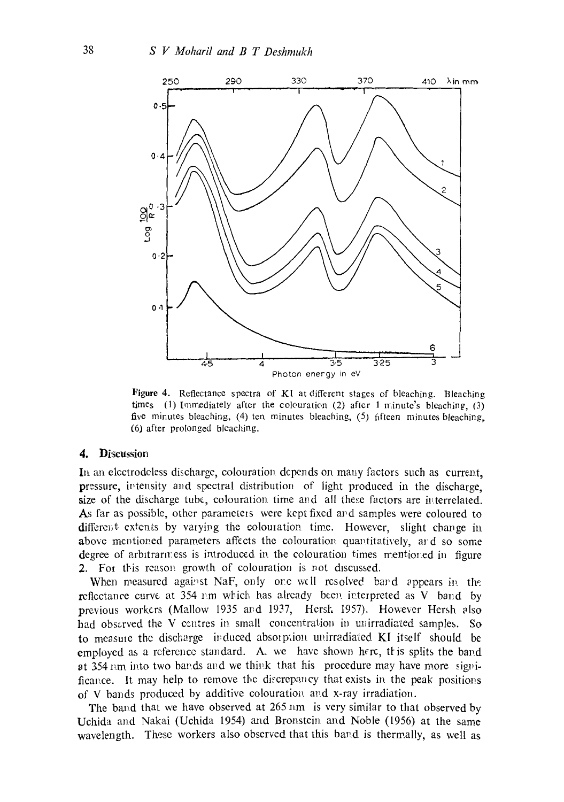

Figure 4. Reflectance spectra of KI at different stages of bleaching. Bleaching times (1) Immediately after the colcuration (2) after 1 minute's bleaching, (3) five minutes bleaching, (4) ten minutes bleaching, (5) fifteen minutes bleaching, (6) after prolonged bleaching.

#### **4. Discussion**

In an electrodeless discharge, colouration depends on many factors such as current, pressure, intensity and spectral distribution of light produced in the discharge. size of the discharge tube, colouration time and all these factors are interrelated. As far as possible, other parameters were kept fixed and samples were coloured to different extents by varying the colouration time. However, slight change in above mentioned parameters affects the colouration quantitatively, ard so some degree of arbitrariness is introduced in the colouration times mentioned in figure 2. For this reason growth of colouration is not discussed.

When measured against NaF, only one w(ll resolved band appears in the reflectance curve at  $354 \text{ nm}$  which has already been interpreted as V band by previous workers (Mallow 1935 avd 1937, Hersh 1957). However Hersh elso had observed the V centres in small concentration in unirradiated samples. So to measure the discharge induced absorption unirradiated KI itself should be employed as a reference standard. A, we have shown here, this splits the band at 354 nm into two bands and we think that his procedure may have more significance. It may help to remove the discrepancy that exists in the peak positions of V bands produced by additive colouration, and x-ray irradiation.

The band that we have observed at 265 nm is very similar to that observed by Uchida and Nakai (Uchida 1954) and Bronstein and Noble (1956) at the same wavelength. These workers also observed that this band is thermally, as well as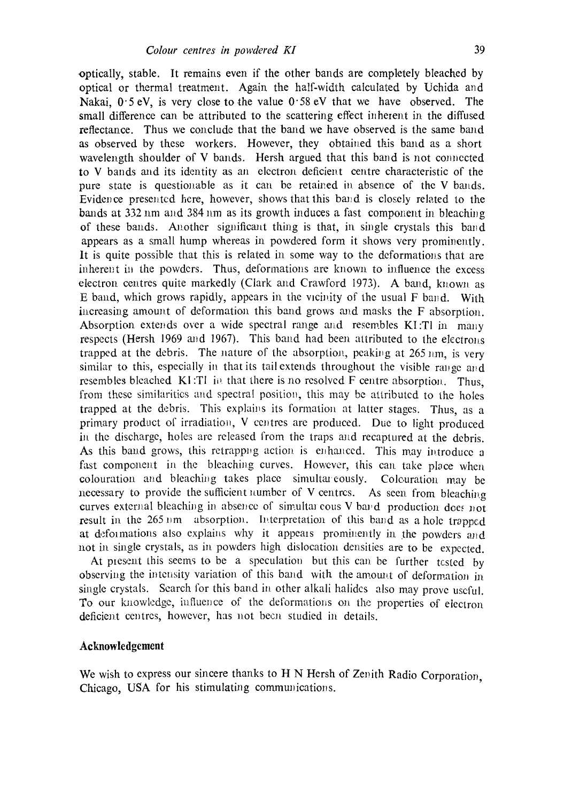optically, stable. It remains even if the other bands are completely bleached by optical or thermal treatment. Agair~ the half-width caIculated by Uchida and Nakai,  $0.5 \text{ eV}$ , is very close to the value  $0.58 \text{ eV}$  that we have observed. The small difference can be attributed to the scattering effect inherent in the diffused reflectance. Thus we conclude that the band we have observed is the same band as observed by these workers. However, they obtained this band as a short wavelength shoulder of V bands. Hersh argued that this band is not connected to V bands and its identity as an electron deficient centre characteristic of the pure state is questionable as it can be retained in absence of the V bands. Evidence presented here, however, shows that this band is closely related to the bands at 332 nm and 384 nm as its growth induces a fast component in bleaching of these bands. Another significant thing is that, in single crystals this band appears as a small hump whereas in powdered form it shows very prominently. It is quite possible that this is related in some way to the deformations that are inherent in the powders. Thus, deformations are known to influence the excess electron centres quite markedly (Clark and Crawford 1973). A band, known as E band, which grows rapidly, appears in the vicinity of the usual  $F$  band. With increasing amount of deformation this band grows and masks the  $F$  absorption. Absorption extends over a wide spectral range and resembles KI:Tl in many respects (Hersh 1969 and 1967). This band had been attributed to the electrons trapped at the debris. The nature of the absorption, peaking at  $265 \text{ nm}$ , is very similar to this, especially in that its tail extends throughout the visible range and resembles bleached KI:TI in that there is no resolved F centre absorption. Thus, from these similarities and spectral position, this may be attributed to the holes trapped at the debris. This explains its formation at latter stages. Thus, as a primary product of irradiation, V centres are produced. Due to light produced in the discharge, holes are released from the traps and recaptured at the debris. As this band grows, this retrapping action is enhanced. This may introduce a fast component in the bleaching curves. However, this can take place when colouration and bleaching takes place simultareously. Colouration may be necessary to provide the sufficient number of V centres. As seen from bleaching curves external bleaching in absence of simultar cous V band production does not result in the 265 nm absorption. Interpretation of this band as a hole trapped at deformations also explains why it appears prominently in the powders and not in single crystals, as in powders high dislocation densities are to be expected.

At present this seems to be a speculation but this can be further tested by observing the intensity variation of this band with the amount of deformation in single crystals. Search for this band in other alkali halides also may prove uscful. To our knowledge, influence of the deformations on the properties of electron deficient centres, however, has not becn studied in details.

#### **Acknowledgement**

We wish to express our sincere thanks to  $H N$  Hersh of Zenith Radio Corporation. Chicago, USA for his stimulating communications.